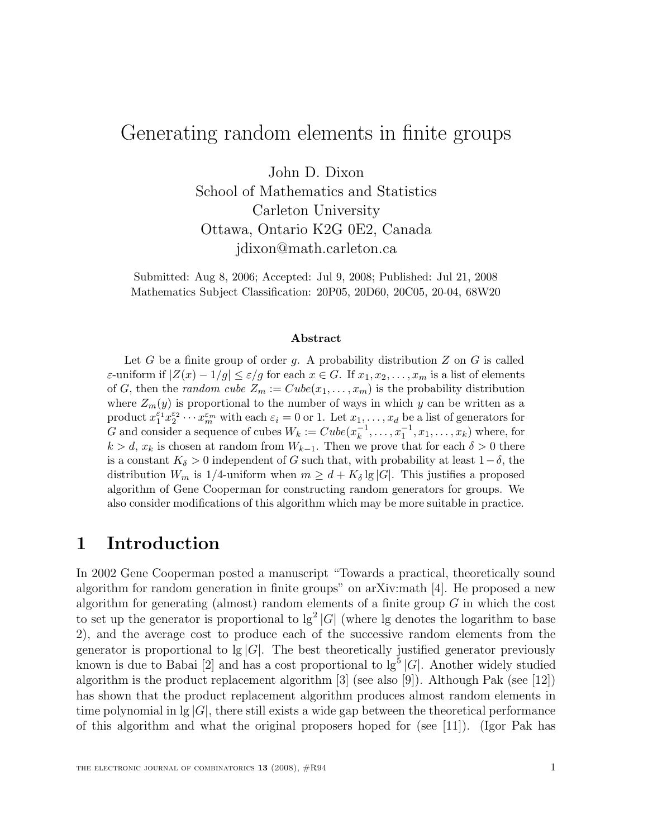# Generating random elements in finite groups

John D. Dixon School of Mathematics and Statistics Carleton University Ottawa, Ontario K2G 0E2, Canada

jdixon@math.carleton.ca

Submitted: Aug 8, 2006; Accepted: Jul 9, 2008; Published: Jul 21, 2008 Mathematics Subject Classification: 20P05, 20D60, 20C05, 20-04, 68W20

#### Abstract

Let G be a finite group of order g. A probability distribution  $Z$  on  $G$  is called ε-uniform if  $|Z(x) - 1/g| ≤ ε/g$  for each  $x ∈ G$ . If  $x_1, x_2, ..., x_m$  is a list of elements of G, then the *random cube*  $Z_m := Cube(x_1, \ldots, x_m)$  is the probability distribution where  $Z_m(y)$  is proportional to the number of ways in which y can be written as a product  $x_1^{\varepsilon_1} x_2^{\varepsilon_2} \cdots x_m^{\varepsilon_m}$  with each  $\varepsilon_i = 0$  or 1. Let  $x_1, \ldots, x_d$  be a list of generators for G and consider a sequence of cubes  $W_k := Cube(x_k^{-1})$  $x_k^{-1}, \ldots, x_1^{-1}, x_1, \ldots, x_k$ ) where, for  $k > d$ ,  $x_k$  is chosen at random from  $W_{k-1}$ . Then we prove that for each  $\delta > 0$  there is a constant  $K_{\delta} > 0$  independent of G such that, with probability at least  $1-\delta$ , the distribution  $W_m$  is 1/4-uniform when  $m \geq d + K_{\delta} \lg |G|$ . This justifies a proposed algorithm of Gene Cooperman for constructing random generators for groups. We also consider modifications of this algorithm which may be more suitable in practice.

### 1 Introduction

In 2002 Gene Cooperman posted a manuscript "Towards a practical, theoretically sound algorithm for random generation in finite groups" on arXiv:math [4]. He proposed a new algorithm for generating (almost) random elements of a finite group  $G$  in which the cost to set up the generator is proportional to  $\lg^2 |G|$  (where lg denotes the logarithm to base 2), and the average cost to produce each of the successive random elements from the generator is proportional to  $g|G|$ . The best theoretically justified generator previously known is due to Babai [2] and has a cost proportional to  $\lg^5 |G|$ . Another widely studied algorithm is the product replacement algorithm [3] (see also [9]). Although Pak (see [12]) has shown that the product replacement algorithm produces almost random elements in time polynomial in  $g(G)$ , there still exists a wide gap between the theoretical performance of this algorithm and what the original proposers hoped for (see [11]). (Igor Pak has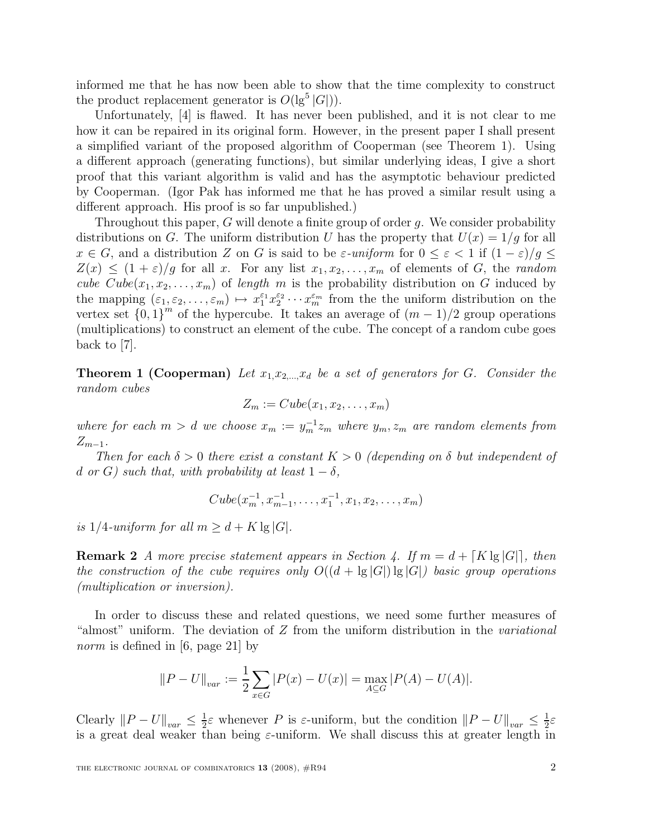informed me that he has now been able to show that the time complexity to construct the product replacement generator is  $O(|g^5|G|)$ .

Unfortunately, [4] is flawed. It has never been published, and it is not clear to me how it can be repaired in its original form. However, in the present paper I shall present a simplified variant of the proposed algorithm of Cooperman (see Theorem 1). Using a different approach (generating functions), but similar underlying ideas, I give a short proof that this variant algorithm is valid and has the asymptotic behaviour predicted by Cooperman. (Igor Pak has informed me that he has proved a similar result using a different approach. His proof is so far unpublished.)

Throughout this paper,  $G$  will denote a finite group of order  $q$ . We consider probability distributions on G. The uniform distribution U has the property that  $U(x) = 1/g$  for all  $x \in G$ , and a distribution Z on G is said to be  $\varepsilon$ -uniform for  $0 \leq \varepsilon < 1$  if  $(1 - \varepsilon)/g \leq$  $Z(x) \leq (1+\varepsilon)/g$  for all x. For any list  $x_1, x_2, \ldots, x_m$  of elements of G, the random cube  $Cube(x_1, x_2, \ldots, x_m)$  of length m is the probability distribution on G induced by the mapping  $(\varepsilon_1, \varepsilon_2, \ldots, \varepsilon_m) \mapsto x_1^{\varepsilon_1} x_2^{\varepsilon_2}$  $z_2^{\varepsilon_2} \cdots x_m^{\varepsilon_m}$  from the the uniform distribution on the vertex set  ${0,1}^m$  of the hypercube. It takes an average of  $(m-1)/2$  group operations (multiplications) to construct an element of the cube. The concept of a random cube goes back to [7].

**Theorem 1 (Cooperman)** Let  $x_1, x_2, \ldots, x_d$  be a set of generators for G. Consider the random cubes

$$
Z_m := Cube(x_1, x_2, \ldots, x_m)
$$

where for each  $m > d$  we choose  $x_m := y_m^{-1} z_m$  where  $y_m, z_m$  are random elements from  $Z_{m-1}$ .

Then for each  $\delta > 0$  there exist a constant  $K > 0$  (depending on  $\delta$  but independent of d or G) such that, with probability at least  $1 - \delta$ ,

$$
Cube(x_m^{-1}, x_{m-1}^{-1}, \ldots, x_1^{-1}, x_1, x_2, \ldots, x_m)
$$

is 1/4-uniform for all  $m > d + K \lg |G|$ .

**Remark 2** A more precise statement appears in Section 4. If  $m = d + [K \lg |G|]$ , then the construction of the cube requires only  $O((d + \lg |G|) \lg |G|)$  basic group operations (multiplication or inversion).

In order to discuss these and related questions, we need some further measures of "almost" uniform. The deviation of Z from the uniform distribution in the variational norm is defined in [6, page 21] by

$$
||P - U||_{var} := \frac{1}{2} \sum_{x \in G} |P(x) - U(x)| = \max_{A \subseteq G} |P(A) - U(A)|.
$$

Clearly  $||P - U||_{var} \leq \frac{1}{2}$  $\frac{1}{2}\varepsilon$  whenever P is  $\varepsilon$ -uniform, but the condition  $||P-U||_{var} \leq \frac{1}{2}$  $rac{1}{2}\varepsilon$ is a great deal weaker than being  $\varepsilon$ -uniform. We shall discuss this at greater length in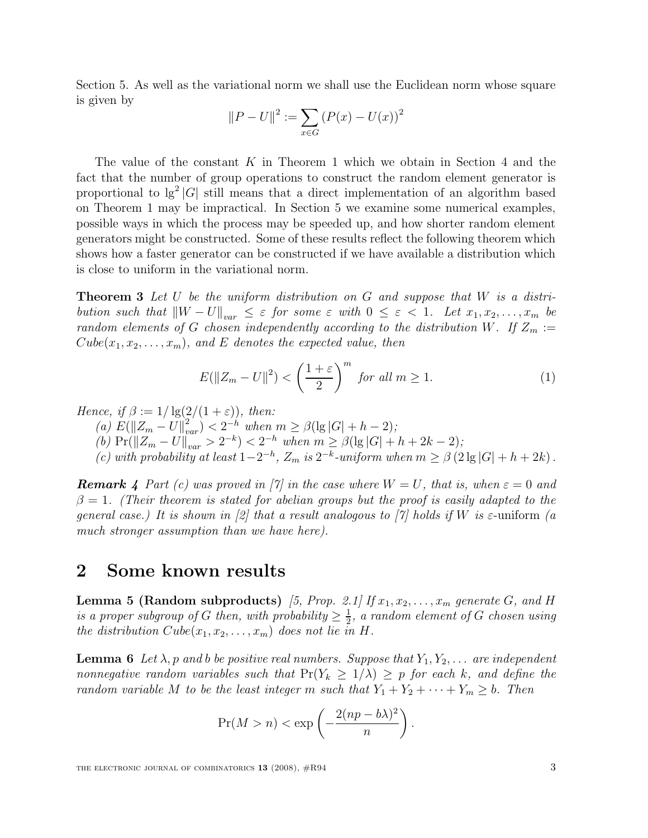Section 5. As well as the variational norm we shall use the Euclidean norm whose square is given by

$$
||P - U||^{2} := \sum_{x \in G} (P(x) - U(x))^{2}
$$

The value of the constant  $K$  in Theorem 1 which we obtain in Section 4 and the fact that the number of group operations to construct the random element generator is proportional to  $\lg^2 |G|$  still means that a direct implementation of an algorithm based on Theorem 1 may be impractical. In Section 5 we examine some numerical examples, possible ways in which the process may be speeded up, and how shorter random element generators might be constructed. Some of these results reflect the following theorem which shows how a faster generator can be constructed if we have available a distribution which is close to uniform in the variational norm.

**Theorem 3** Let U be the uniform distribution on G and suppose that  $W$  is a distribution such that  $\|W - U\|_{var} \leq \varepsilon$  for some  $\varepsilon$  with  $0 \leq \varepsilon < 1$ . Let  $x_1, x_2, \ldots, x_m$  be random elements of G chosen independently according to the distribution W. If  $Z_m :=$  $Cube(x_1, x_2, \ldots, x_m)$ , and E denotes the expected value, then

$$
E(||Z_m - U||^2) < \left(\frac{1+\varepsilon}{2}\right)^m \text{ for all } m \ge 1. \tag{1}
$$

Hence, if  $\beta := 1/\lg(2/(1+\varepsilon))$ , then:

(a)  $E(||Z_m - U||_{var}^2) < 2^{-h}$  when  $m \geq \beta(\lg |G| + h - 2);$ 

(b)  $Pr(||Z_m - U||_{var} > 2^{-k}) < 2^{-h}$  when  $m \geq \beta(\lg |G| + h + 2k - 2);$ 

(c) with probability at least  $1-2^{-h}$ ,  $Z_m$  is  $2^{-k}$ -uniform when  $m \geq \beta$  (2 lg |G| + h + 2k).

**Remark 4** Part (c) was proved in [7] in the case where  $W = U$ , that is, when  $\varepsilon = 0$  and  $\beta = 1$ . (Their theorem is stated for abelian groups but the proof is easily adapted to the general case.) It is shown in [2] that a result analogous to [7] holds if W is  $\varepsilon$ -uniform (a much stronger assumption than we have here).

### 2 Some known results

**Lemma 5 (Random subproducts)** [5, Prop. 2.1] If  $x_1, x_2, \ldots, x_m$  generate G, and H is a proper subgroup of G then, with probability  $\geq \frac{1}{2}$  $\frac{1}{2}$ , a random element of G chosen using the distribution  $Cube(x_1, x_2, \ldots, x_m)$  does not lie in H.

**Lemma 6** Let  $\lambda$ , p and b be positive real numbers. Suppose that  $Y_1, Y_2, \ldots$  are independent nonnegative random variables such that  $Pr(Y_k \geq 1/\lambda) \geq p$  for each k, and define the random variable M to be the least integer m such that  $Y_1 + Y_2 + \cdots + Y_m \geq b$ . Then

$$
\Pr(M > n) < \exp\left(-\frac{2(np - b\lambda)^2}{n}\right).
$$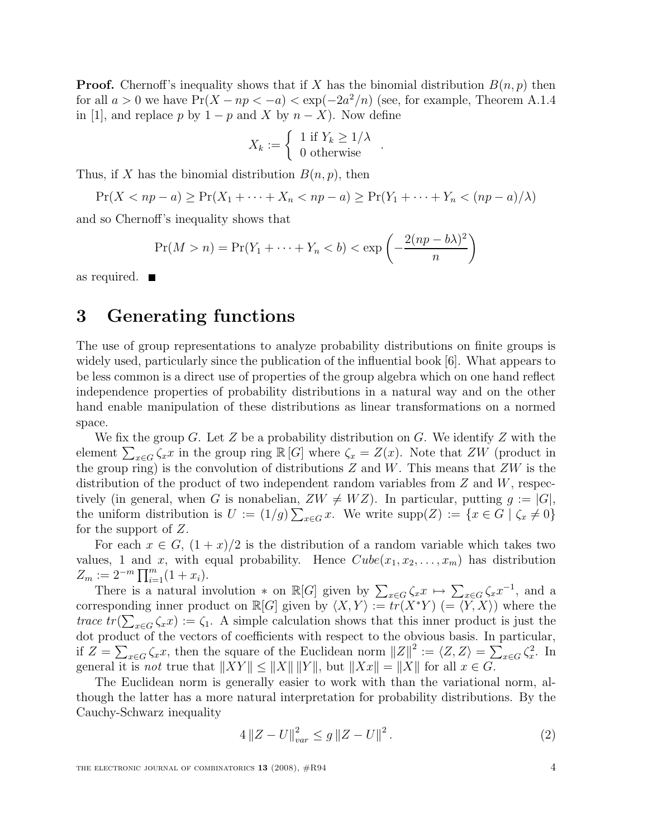**Proof.** Chernoff's inequality shows that if X has the binomial distribution  $B(n, p)$  then for all  $a > 0$  we have  $Pr(X - np < -a) < exp(-2a^2/n)$  (see, for example, Theorem A.1.4) in [1], and replace p by  $1 - p$  and X by  $n - X$ ). Now define

$$
X_k := \left\{ \begin{array}{c} 1 \text{ if } Y_k \geq 1/\lambda \\ 0 \text{ otherwise} \end{array} \right..
$$

Thus, if X has the binomial distribution  $B(n, p)$ , then

$$
\Pr(X < np - a) \ge \Pr(X_1 + \dots + X_n < np - a) \ge \Pr(Y_1 + \dots + Y_n < (np - a) / \lambda)
$$

and so Chernoff's inequality shows that

$$
\Pr(M > n) = \Pr(Y_1 + \dots + Y_n < b) < \exp\left(-\frac{2(np - b\lambda)^2}{n}\right)
$$

as required.

### 3 Generating functions

The use of group representations to analyze probability distributions on finite groups is widely used, particularly since the publication of the influential book [6]. What appears to be less common is a direct use of properties of the group algebra which on one hand reflect independence properties of probability distributions in a natural way and on the other hand enable manipulation of these distributions as linear transformations on a normed space.

We fix the group G. Let Z be a probability distribution on G. We identify Z with the element  $\sum_{x \in G} \zeta_x x$  in the group ring  $\mathbb{R}[G]$  where  $\zeta_x = Z(x)$ . Note that  $ZW$  (product in the group ring) is the convolution of distributions  $Z$  and  $W$ . This means that  $ZW$  is the distribution of the product of two independent random variables from  $Z$  and  $W$ , respectively (in general, when G is nonabelian,  $ZW \neq WZ$ ). In particular, putting  $g := |G|$ , the uniform distribution is  $U := (1/g) \sum_{x \in G} x$ . We write  $\text{supp}(Z) := \{x \in G \mid \zeta_x \neq 0\}$ for the support of Z.

For each  $x \in G$ ,  $(1+x)/2$  is the distribution of a random variable which takes two values, 1 and x, with equal probability. Hence  $Cube(x_1, x_2, \ldots, x_m)$  has distribution  $Z_m := 2^{-m} \prod_{i=1}^m (1 + x_i).$ 

There is a natural involution  $*$  on  $\mathbb{R}[G]$  given by  $\sum_{x \in G} \zeta_x x \mapsto \sum_{x \in G} \zeta_x x^{-1}$ , and a corresponding inner product on  $\mathbb{R}[G]$  given by  $\langle X, Y \rangle := \widetilde{tr}(X^*Y)$   $(=\langle \widetilde{Y}, X \rangle)$  where the trace  $tr(\sum_{x\in G} \zeta_x x) := \zeta_1$ . A simple calculation shows that this inner product is just the dot product of the vectors of coefficients with respect to the obvious basis. In particular, if  $Z = \sum_{x \in G} \zeta_x x$ , then the square of the Euclidean norm  $||Z||^2 := \langle Z, Z \rangle = \sum_{x \in G} \zeta_x^2$ . In general it is *not* true that  $||XY|| \le ||X|| ||Y||$ , but  $||Xx|| = ||X||$  for all  $x \in G$ .

The Euclidean norm is generally easier to work with than the variational norm, although the latter has a more natural interpretation for probability distributions. By the Cauchy-Schwarz inequality

$$
4\left\|Z - U\right\|_{var}^2 \le g\left\|Z - U\right\|^2. \tag{2}
$$

THE ELECTRONIC JOURNAL OF COMBINATORICS  $13$  (2008),  $\#R94$  4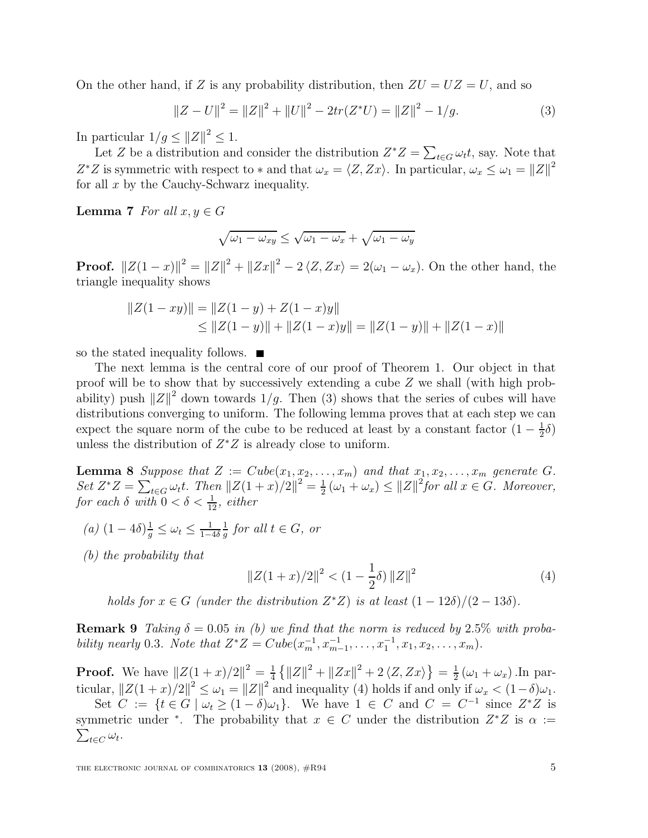On the other hand, if Z is any probability distribution, then  $ZU = UZ = U$ , and so

$$
||Z - U||2 = ||Z||2 + ||U||2 - 2tr(Z*U) = ||Z||2 - 1/g.
$$
 (3)

In particular  $1/g \leq ||Z||^2 \leq 1$ .

Let Z be a distribution and consider the distribution  $Z^*Z = \sum_{t \in G} \omega_t t$ , say. Note that  $Z^*Z$  is symmetric with respect to  $*$  and that  $\omega_x = \langle Z, Zx \rangle$ . In particular,  $\omega_x \leq \omega_1 = ||Z||^2$ for all  $x$  by the Cauchy-Schwarz inequality.

**Lemma 7** For all  $x, y \in G$ 

$$
\sqrt{\omega_1 - \omega_{xy}} \le \sqrt{\omega_1 - \omega_x} + \sqrt{\omega_1 - \omega_y}
$$

**Proof.**  $||Z(1-x)||^2 = ||Z||^2 + ||Zx||^2 - 2\langle Z, Zx \rangle = 2(\omega_1 - \omega_x)$ . On the other hand, the triangle inequality shows

$$
||Z(1 - xy)|| = ||Z(1 - y) + Z(1 - x)y||
$$
  
\n
$$
\le ||Z(1 - y)|| + ||Z(1 - x)y|| = ||Z(1 - y)|| + ||Z(1 - x)||
$$

so the stated inequality follows.  $\blacksquare$ 

The next lemma is the central core of our proof of Theorem 1. Our object in that proof will be to show that by successively extending a cube Z we shall (with high probability) push  $||Z||^2$  down towards  $1/g$ . Then (3) shows that the series of cubes will have distributions converging to uniform. The following lemma proves that at each step we can expect the square norm of the cube to be reduced at least by a constant factor  $(1 - \frac{1}{2})$  $\frac{1}{2}\delta)$ unless the distribution of  $Z^*Z$  is already close to uniform.

**Lemma 8** Suppose that  $Z := Cube(x_1, x_2, \ldots, x_m)$  and that  $x_1, x_2, \ldots, x_m$  generate G. Set  $Z^*Z = \sum_{t \in G} \omega_t t$ . Then  $||Z(1+x)/2||^2 = \frac{1}{2}$  $\frac{1}{2}(\omega_1 + \omega_x) \le ||Z||^2$  for all  $x \in G$ . Moreover, for each  $\delta$  with  $0 < \delta < \frac{1}{12}$ , either

- (a)  $(1-4\delta)\frac{1}{g} \leq \omega_t \leq \frac{1}{1-\delta}$  $1-4\delta$ 1  $\frac{1}{g}$  for all  $t \in G$ , or
- (b) the probability that

$$
||Z(1+x)/2||^2 < (1 - \frac{1}{2}\delta) ||Z||^2
$$
 (4)

holds for  $x \in G$  (under the distribution  $Z^*Z$ ) is at least  $(1 - 12\delta)/(2 - 13\delta)$ .

**Remark 9** Taking  $\delta = 0.05$  in (b) we find that the norm is reduced by 2.5% with probability nearly 0.3. Note that  $Z^*Z = Cube(x_m^{-1}, x_{m-1}^{-1}, \ldots, x_1^{-1}, x_1, x_2, \ldots, x_m)$ .

**Proof.** We have  $||Z(1 + x)/2||^2 = \frac{1}{4}$  $\frac{1}{4}$  { $||Z||^2 + ||Zx||^2 + 2 \langle Z, Zx \rangle$ } =  $\frac{1}{2}$  $\frac{1}{2}(\omega_1 + \omega_x)$ . In particular,  $||Z(1+x)/2||^2 \leq \omega_1 = ||Z||^2$  and inequality (4) holds if and only if  $\omega_x < (1-\delta)\omega_1$ .

Set  $C := \{ t \in G \mid \omega_t \ge (1 - \delta)\omega_1 \}.$  We have  $1 \in C$  and  $C = C^{-1}$  since  $Z^*Z$  is symmetric under \*. The probability that  $x \in C$  under the distribution  $Z^*Z$  is  $\alpha :=$  $\sum_{t\in C}\omega_t.$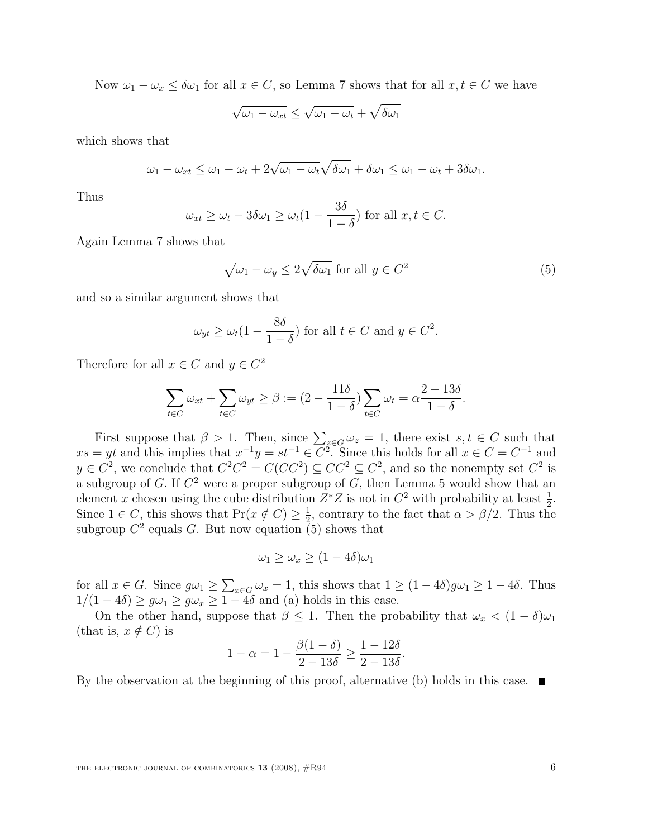Now  $\omega_1 - \omega_x \le \delta \omega_1$  for all  $x \in C$ , so Lemma 7 shows that for all  $x, t \in C$  we have

$$
\sqrt{\omega_1 - \omega_{xt}} \le \sqrt{\omega_1 - \omega_t} + \sqrt{\delta \omega_1}
$$

which shows that

$$
\omega_1 - \omega_{xt} \le \omega_1 - \omega_t + 2\sqrt{\omega_1 - \omega_t}\sqrt{\delta\omega_1} + \delta\omega_1 \le \omega_1 - \omega_t + 3\delta\omega_1.
$$

Thus

$$
\omega_{xt} \ge \omega_t - 3\delta\omega_1 \ge \omega_t(1 - \frac{3\delta}{1-\delta})
$$
 for all  $x, t \in C$ .

Again Lemma 7 shows that

$$
\sqrt{\omega_1 - \omega_y} \le 2\sqrt{\delta\omega_1} \text{ for all } y \in C^2
$$
 (5)

and so a similar argument shows that

$$
\omega_{yt} \ge \omega_t (1 - \frac{8\delta}{1 - \delta})
$$
 for all  $t \in C$  and  $y \in C^2$ .

Therefore for all  $x \in C$  and  $y \in C^2$ 

$$
\sum_{t \in C} \omega_{xt} + \sum_{t \in C} \omega_{yt} \ge \beta := (2 - \frac{11\delta}{1 - \delta}) \sum_{t \in C} \omega_t = \alpha \frac{2 - 13\delta}{1 - \delta}.
$$

First suppose that  $\beta > 1$ . Then, since  $\sum_{z \in G} \omega_z = 1$ , there exist  $s, t \in C$  such that  $xs = yt$  and this implies that  $x^{-1}y = st^{-1} \in C^2$ . Since this holds for all  $x \in C = C^{-1}$  and  $y \in C^2$ , we conclude that  $C^2C^2 = C(CC^2) \subseteq CC^2 \subseteq C^2$ , and so the nonempty set  $C^2$  is a subgroup of G. If  $C^2$  were a proper subgroup of G, then Lemma 5 would show that an element x chosen using the cube distribution  $Z^*Z$  is not in  $C^2$  with probability at least  $\frac{1}{2}$ . Since  $1 \in C$ , this shows that  $Pr(x \notin C) \geq \frac{1}{2}$  $\frac{1}{2}$ , contrary to the fact that  $\alpha > \beta/2$ . Thus the subgroup  $C^2$  equals G. But now equation (5) shows that

$$
\omega_1 \ge \omega_x \ge (1 - 4\delta)\omega_1
$$

for all  $x \in G$ . Since  $g\omega_1 \ge \sum_{x \in G} \omega_x = 1$ , this shows that  $1 \ge (1 - 4\delta)g\omega_1 \ge 1 - 4\delta$ . Thus  $1/(1-4\delta) \ge g\omega_1 \ge g\omega_x \ge 1-4\delta$  and (a) holds in this case.

On the other hand, suppose that  $\beta \leq 1$ . Then the probability that  $\omega_x < (1 - \delta)\omega_1$ (that is,  $x \notin C$ ) is

$$
1 - \alpha = 1 - \frac{\beta(1 - \delta)}{2 - 13\delta} \ge \frac{1 - 12\delta}{2 - 13\delta}.
$$

By the observation at the beginning of this proof, alternative (b) holds in this case.  $\blacksquare$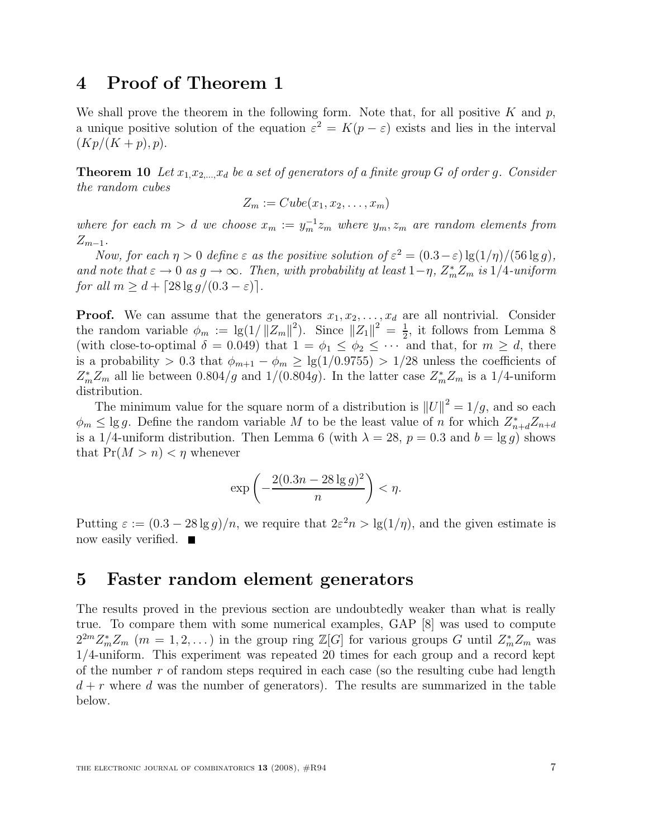## 4 Proof of Theorem 1

We shall prove the theorem in the following form. Note that, for all positive  $K$  and  $p$ , a unique positive solution of the equation  $\varepsilon^2 = K(p - \varepsilon)$  exists and lies in the interval  $(Kp/(K+p), p).$ 

**Theorem 10** Let  $x_1, x_2, \ldots, x_d$  be a set of generators of a finite group G of order g. Consider the random cubes

$$
Z_m := Cube(x_1, x_2, \ldots, x_m)
$$

where for each  $m > d$  we choose  $x_m := y_m^{-1} z_m$  where  $y_m, z_m$  are random elements from  $Z_{m-1}$ .

Now, for each  $\eta > 0$  define  $\varepsilon$  as the positive solution of  $\varepsilon^2 = (0.3 - \varepsilon) \lg(1/\eta) / (56 \lg g)$ , and note that  $\varepsilon \to 0$  as  $g \to \infty$ . Then, with probability at least  $1-\eta$ ,  $Z_m^* Z_m$  is  $1/4$ -uniform for all  $m > d + \lceil 28 \lg q/(0.3 - \varepsilon) \rceil$ .

**Proof.** We can assume that the generators  $x_1, x_2, \ldots, x_d$  are all nontrivial. Consider the random variable  $\phi_m := \lg(1/||Z_m||^2)$ . Since  $||Z_1||^2 = \frac{1}{2}$  $\frac{1}{2}$ , it follows from Lemma 8 (with close-to-optimal  $\delta = 0.049$ ) that  $1 = \phi_1 \leq \phi_2 \leq \cdots$  and that, for  $m \geq d$ , there is a probability > 0.3 that  $\phi_{m+1} - \phi_m \ge \lg(1/0.9755) > 1/28$  unless the coefficients of  $Z_m^* Z_m$  all lie between 0.804/g and 1/(0.804g). In the latter case  $Z_m^* Z_m$  is a 1/4-uniform distribution.

The minimum value for the square norm of a distribution is  $||U||^2 = 1/g$ , and so each  $\phi_m \leq \lg g$ . Define the random variable M to be the least value of n for which  $Z_{n+d}^* Z_{n+d}$ is a 1/4-uniform distribution. Then Lemma 6 (with  $\lambda = 28$ ,  $p = 0.3$  and  $b = \lg q$ ) shows that  $Pr(M > n) < \eta$  whenever

$$
\exp\left(-\frac{2(0.3n-28\lg g)^2}{n}\right) < \eta.
$$

Putting  $\varepsilon := (0.3 - 28 \lg g)/n$ , we require that  $2\varepsilon^2 n > \lg(1/\eta)$ , and the given estimate is now easily verified. ■

## 5 Faster random element generators

The results proved in the previous section are undoubtedly weaker than what is really true. To compare them with some numerical examples, GAP [8] was used to compute  $2^{2m}Z_m^*Z_m$  (m = 1, 2, ...) in the group ring  $\mathbb{Z}[G]$  for various groups G until  $Z_m^*Z_m$  was 1/4-uniform. This experiment was repeated 20 times for each group and a record kept of the number  $r$  of random steps required in each case (so the resulting cube had length  $d + r$  where d was the number of generators). The results are summarized in the table below.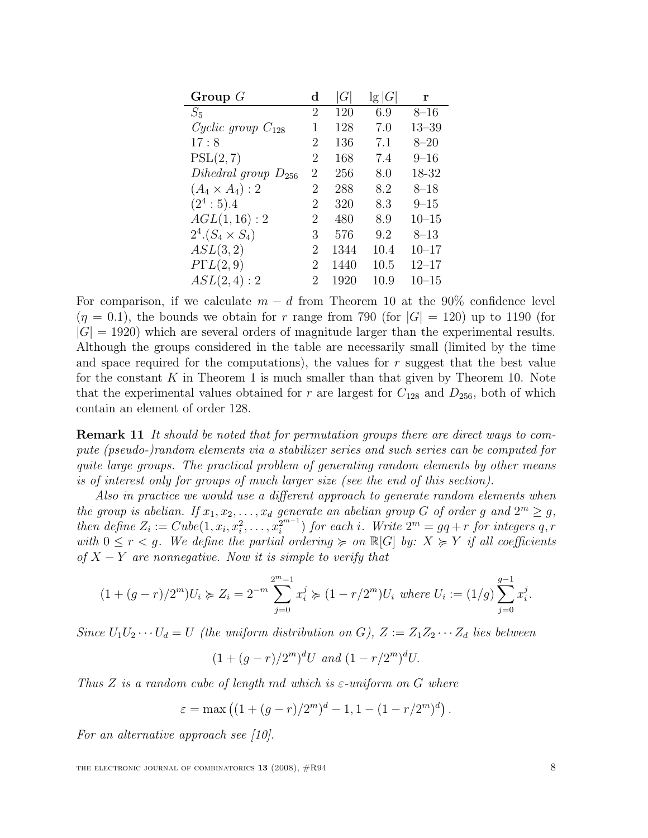| Group $G$                | $\mathbf d$ | G    | $\lg G $ | r         |
|--------------------------|-------------|------|----------|-----------|
| $S_5$                    | 2           | 120  | 6.9      | $8 - 16$  |
| Cyclic group $C_{128}$   | 1           | 128  | 7.0      | $13 - 39$ |
| 17:8                     | 2           | 136  | 7.1      | $8 - 20$  |
| PSL(2,7)                 | 2           | 168  | 7.4      | $9 - 16$  |
| Dihedral group $D_{256}$ | 2           | 256  | 8.0      | 18-32     |
| $(A_4 \times A_4):2$     | 2           | 288  | 8.2      | $8 - 18$  |
| $(2^4:5).4$              | 2           | 320  | 8.3      | $9 - 15$  |
| AGL(1, 16): 2            | 2           | 480  | 8.9      | $10 - 15$ |
| $2^4.(S_4 \times S_4)$   | 3           | 576  | 9.2      | $8 - 13$  |
| ASL(3,2)                 | 2           | 1344 | 10.4     | $10 - 17$ |
| $P\Gamma L(2,9)$         | 2           | 1440 | 10.5     | $12 - 17$ |
| ASL(2,4):2               | 2           | 1920 | 10.9     | 10–15     |

For comparison, if we calculate  $m - d$  from Theorem 10 at the 90% confidence level  $(\eta = 0.1)$ , the bounds we obtain for r range from 790 (for  $|G| = 120$ ) up to 1190 (for  $|G| = 1920$ ) which are several orders of magnitude larger than the experimental results. Although the groups considered in the table are necessarily small (limited by the time and space required for the computations), the values for  $r$  suggest that the best value for the constant  $K$  in Theorem 1 is much smaller than that given by Theorem 10. Note that the experimental values obtained for r are largest for  $C_{128}$  and  $D_{256}$ , both of which contain an element of order 128.

**Remark 11** It should be noted that for permutation groups there are direct ways to compute (pseudo-)random elements via a stabilizer series and such series can be computed for quite large groups. The practical problem of generating random elements by other means is of interest only for groups of much larger size (see the end of this section).

Also in practice we would use a different approach to generate random elements when the group is abelian. If  $x_1, x_2, ..., x_d$  generate an abelian group G of order g and  $2^m \geq g$ , then define  $Z_i := Cube(1, x_i, x_i^2, \ldots, x_i^{2^{m-1}})$  for each i. Write  $2^m = gq + r$  for integers q, r with  $0 \leq r < g$ . We define the partial ordering  $\succcurlyeq$  on  $\mathbb{R}[G]$  by:  $X \succcurlyeq Y$  if all coefficients of  $X - Y$  are nonnegative. Now it is simple to verify that

$$
(1+(g-r)/2m)U_i \succcurlyeq Z_i = 2-m \sum_{j=0}^{2m-1} x_i^j \succcurlyeq (1-r/2m)U_i \text{ where } U_i := (1/g) \sum_{j=0}^{g-1} x_i^j.
$$

Since  $U_1U_2\cdots U_d=U$  (the uniform distribution on G),  $Z:=Z_1Z_2\cdots Z_d$  lies between

$$
(1 + (g - r)/2m)dU
$$
 and  $(1 - r/2m)dU$ .

Thus Z is a random cube of length md which is  $\varepsilon$ -uniform on G where

$$
\varepsilon = \max \left( (1 + (g - r)/2^m)^d - 1, 1 - (1 - r/2^m)^d \right).
$$

For an alternative approach see [10].

THE ELECTRONIC JOURNAL OF COMBINATORICS  $13$  (2008),  $\#R94$  8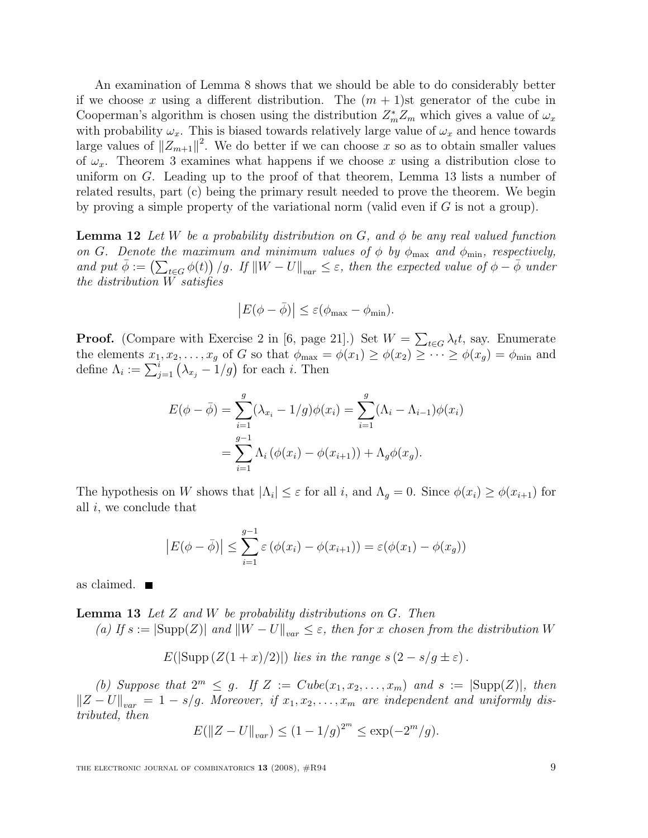An examination of Lemma 8 shows that we should be able to do considerably better if we choose x using a different distribution. The  $(m + 1)$ st generator of the cube in Cooperman's algorithm is chosen using the distribution  $Z_m^* Z_m$  which gives a value of  $\omega_x$ with probability  $\omega_x$ . This is biased towards relatively large value of  $\omega_x$  and hence towards large values of  $||Z_{m+1}||^2$ . We do better if we can choose x so as to obtain smaller values of  $\omega_x$ . Theorem 3 examines what happens if we choose x using a distribution close to uniform on G. Leading up to the proof of that theorem, Lemma 13 lists a number of related results, part (c) being the primary result needed to prove the theorem. We begin by proving a simple property of the variational norm (valid even if  $G$  is not a group).

**Lemma 12** Let W be a probability distribution on G, and  $\phi$  be any real valued function on G. Denote the maximum and minimum values of  $\phi$  by  $\phi_{\text{max}}$  and  $\phi_{\text{min}}$ , respectively, and put  $\bar{\phi} := (\sum_{t \in G} \phi(t)) / g$ . If  $||W - U||_{var} \le \varepsilon$ , then the expected value of  $\phi - \bar{\phi}$  under the distribution W satisfies

$$
\left|E(\phi - \bar{\phi})\right| \le \varepsilon(\phi_{\max} - \phi_{\min}).
$$

**Proof.** (Compare with Exercise 2 in [6, page 21].) Set  $W = \sum_{t \in G} \lambda_t t$ , say. Enumerate the elements  $x_1, x_2, \ldots, x_g$  of G so that  $\phi_{\text{max}} = \phi(x_1) \ge \phi(x_2) \ge \cdots \ge \phi(x_g) = \phi_{\text{min}}$  and define  $\Lambda_i := \sum_{j=1}^i (\lambda_{x_j} - 1/g)$  for each *i*. Then

$$
E(\phi - \bar{\phi}) = \sum_{i=1}^{g} (\lambda_{x_i} - 1/g)\phi(x_i) = \sum_{i=1}^{g} (\Lambda_i - \Lambda_{i-1})\phi(x_i)
$$
  
= 
$$
\sum_{i=1}^{g-1} \Lambda_i (\phi(x_i) - \phi(x_{i+1})) + \Lambda_g \phi(x_g).
$$

The hypothesis on W shows that  $|\Lambda_i| \leq \varepsilon$  for all i, and  $\Lambda_g = 0$ . Since  $\phi(x_i) \geq \phi(x_{i+1})$  for all i, we conclude that

$$
\left| E(\phi - \bar{\phi}) \right| \leq \sum_{i=1}^{g-1} \varepsilon \left( \phi(x_i) - \phi(x_{i+1}) \right) = \varepsilon(\phi(x_1) - \phi(x_g))
$$

as claimed.

**Lemma 13** Let  $Z$  and  $W$  be probability distributions on  $G$ . Then

(a) If  $s := |\text{Supp}(Z)|$  and  $||W - U||_{var} \leq \varepsilon$ , then for x chosen from the distribution W

$$
E(|\text{Supp}(Z(1+x)/2)|)\text{ lies in the range }s(2-s/g\pm\varepsilon).
$$

(b) Suppose that  $2^m \leq g$ . If  $Z := Cube(x_1, x_2, \ldots, x_m)$  and  $s := |\text{Supp}(Z)|$ , then  $||Z - U||_{var} = 1 - s/g$ . Moreover, if  $x_1, x_2, \ldots, x_m$  are independent and uniformly distributed, then

$$
E(||Z - U||_{var}) \le (1 - 1/g)^{2^m} \le \exp(-2^m/g).
$$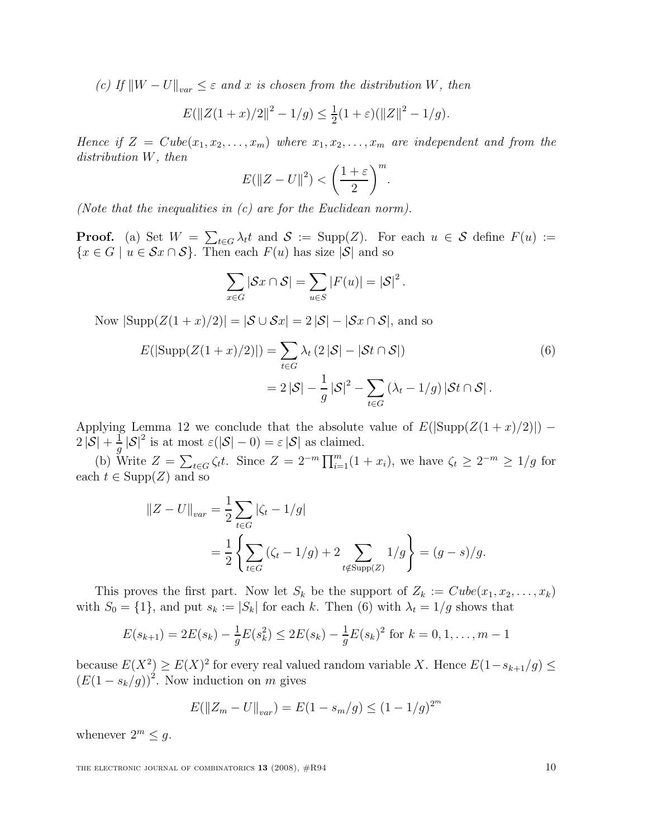(c) If  $||W - U||_{var} \leq \varepsilon$  and x is chosen from the distribution W, then

$$
E(||Z(1+x)/2||^2 - 1/g) \le \frac{1}{2}(1+\varepsilon)(||Z||^2 - 1/g).
$$

Hence if  $Z = Cube(x_1, x_2, \ldots, x_m)$  where  $x_1, x_2, \ldots, x_m$  are independent and from the distribution W, then

$$
E(||Z - U||2) < \left(\frac{1+\varepsilon}{2}\right)^m
$$

.

(Note that the inequalities in (c) are for the Euclidean norm).

**Proof.** (a) Set  $W = \sum_{t \in G} \lambda_t t$  and  $S := \text{Supp}(Z)$ . For each  $u \in S$  define  $F(u) :=$  ${x \in G \mid u \in Sx \cap S}$ . Then each  $F(u)$  has size  $|S|$  and so

$$
\sum_{x \in G} |\mathcal{S}x \cap \mathcal{S}| = \sum_{u \in S} |F(u)| = |\mathcal{S}|^2.
$$

Now  $|\text{Supp}(Z(1+x)/2)| = |\mathcal{S} \cup \mathcal{S} x| = 2 |\mathcal{S}| - |\mathcal{S} x \cap \mathcal{S}|$ , and so

$$
E(|\text{Supp}(Z(1+x)/2)|) = \sum_{t \in G} \lambda_t (2|\mathcal{S}| - |\mathcal{S}t \cap \mathcal{S}|)
$$
  
= 
$$
2|\mathcal{S}| - \frac{1}{g}|\mathcal{S}|^2 - \sum_{t \in G} (\lambda_t - 1/g) |\mathcal{S}t \cap \mathcal{S}|.
$$
 (6)

Applying Lemma 12 we conclude that the absolute value of  $E(|\text{Supp}(Z(1+x)/2)|)$  –  $2|\overline{\mathcal{S}}|+\frac{1}{q}$  $\frac{1}{g} |\mathcal{S}|^2$  is at most  $\varepsilon(|\mathcal{S}|-0) = \varepsilon |\mathcal{S}|$  as claimed.

(b) Write  $Z = \sum_{t \in G} \zeta_t t$ . Since  $Z = 2^{-m} \prod_{i=1}^m (1 + x_i)$ , we have  $\zeta_t \geq 2^{-m} \geq 1/g$  for each  $t \in \text{Supp}(Z)$  and so

$$
||Z - U||_{var} = \frac{1}{2} \sum_{t \in G} |\zeta_t - 1/g|
$$
  
=  $\frac{1}{2} \left\{ \sum_{t \in G} (\zeta_t - 1/g) + 2 \sum_{t \notin \text{Supp}(Z)} 1/g \right\} = (g - s)/g.$ 

This proves the first part. Now let  $S_k$  be the support of  $Z_k := Cube(x_1, x_2, \ldots, x_k)$ with  $S_0 = \{1\}$ , and put  $s_k := |S_k|$  for each k. Then (6) with  $\lambda_t = 1/g$  shows that

$$
E(s_{k+1}) = 2E(s_k) - \frac{1}{g}E(s_k^2) \le 2E(s_k) - \frac{1}{g}E(s_k)^2
$$
 for  $k = 0, 1, ..., m-1$ 

because  $E(X^2) \geq E(X)^2$  for every real valued random variable X. Hence  $E(1-s_{k+1}/g) \leq$  $(E(1 - s_k/g))^2$ . Now induction on m gives

$$
E(||Z_m - U||_{var}) = E(1 - s_m/g) \le (1 - 1/g)^{2^m}
$$

whenever  $2^m \leq g$ .

THE ELECTRONIC JOURNAL OF COMBINATORICS  $13$  (2008),  $\#R94$  10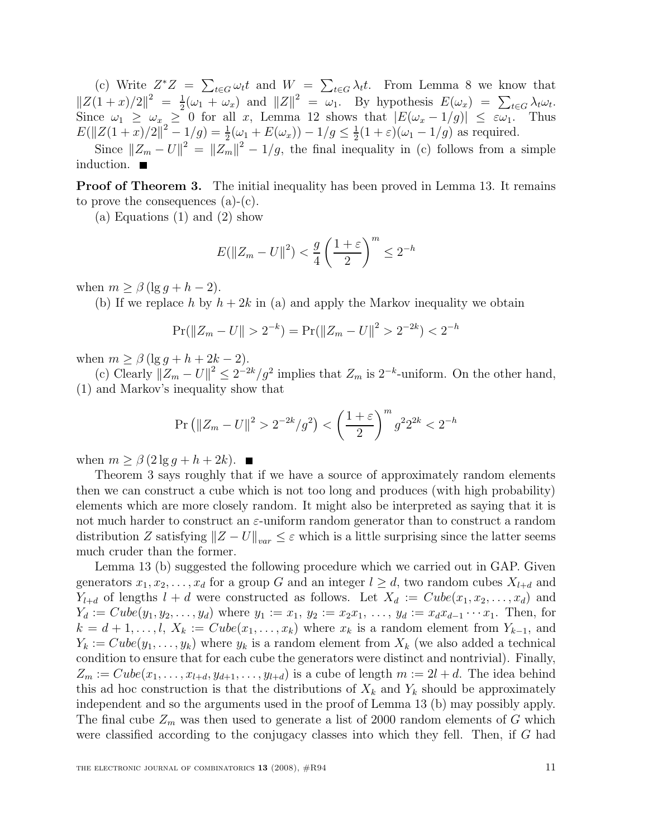(c) Write  $Z^*Z = \sum_{t \in G} \omega_t t$  and  $W = \sum_{t \in G} \lambda_t t$ . From Lemma 8 we know that t∈G  $\|Z(1+x)/2\|^2 = \frac{1}{2}$  $\frac{1}{2}(\omega_1 + \omega_x)$  and  $||Z||^2 = \omega_1$ . By hypothesis  $E(\omega_x) = \sum_{t \in G} \lambda_t \omega_t$ . Since  $\omega_1 \geq \omega_x \geq 0$  for all x, Lemma 12 shows that  $|E(\omega_x - 1/g)| \leq \varepsilon \omega_1$ . Thus  $E(\|Z(1+x)/2\|^2-1/g)=\frac{1}{2}$  $\frac{1}{2}(\omega_1 + E(\omega_x)) - 1/g \le \frac{1}{2}$  $\frac{1}{2}(1+\varepsilon)(\omega_1-1/g)$  as required.

Since  $||Z_m - U||^2 = ||Z_m||^2 - 1/g$ , the final inequality in (c) follows from a simple induction.

**Proof of Theorem 3.** The initial inequality has been proved in Lemma 13. It remains to prove the consequences (a)-(c).

(a) Equations (1) and (2) show

$$
E(||Z_m - U||^2) < \frac{g}{4} \left(\frac{1+\varepsilon}{2}\right)^m \le 2^{-h}
$$

when  $m \geq \beta$  (lg  $q + h - 2$ ).

(b) If we replace h by  $h + 2k$  in (a) and apply the Markov inequality we obtain

$$
Pr(||Z_m - U|| > 2^{-k}) = Pr(||Z_m - U||^2 > 2^{-2k}) < 2^{-h}
$$

when  $m \geq \beta (\lg g + h + 2k - 2)$ .

(c) Clearly  $||Z_m - U||^2 \leq 2^{-2k}/g^2$  implies that  $Z_m$  is  $2^{-k}$ -uniform. On the other hand, (1) and Markov's inequality show that

$$
\Pr\left(\|Z_m - U\|^2 > 2^{-2k}/g^2\right) < \left(\frac{1+\varepsilon}{2}\right)^m g^2 2^{2k} < 2^{-h}
$$

when  $m \geq \beta (2 \lg q + h + 2k)$ .

Theorem 3 says roughly that if we have a source of approximately random elements then we can construct a cube which is not too long and produces (with high probability) elements which are more closely random. It might also be interpreted as saying that it is not much harder to construct an  $\varepsilon$ -uniform random generator than to construct a random distribution Z satisfying  $||Z - U||_{var} \leq \varepsilon$  which is a little surprising since the latter seems much cruder than the former.

Lemma 13 (b) suggested the following procedure which we carried out in GAP. Given generators  $x_1, x_2, \ldots, x_d$  for a group G and an integer  $l \geq d$ , two random cubes  $X_{l+d}$  and  $Y_{l+d}$  of lengths  $l + d$  were constructed as follows. Let  $X_d := Cube(x_1, x_2, \ldots, x_d)$  and  $Y_d := Cube(y_1, y_2, \ldots, y_d)$  where  $y_1 := x_1, y_2 := x_2x_1, \ldots, y_d := x_dx_{d-1} \cdots x_1$ . Then, for  $k = d + 1, \ldots, l, X_k := Cube(x_1, \ldots, x_k)$  where  $x_k$  is a random element from  $Y_{k-1}$ , and  $Y_k := Cube(y_1, \ldots, y_k)$  where  $y_k$  is a random element from  $X_k$  (we also added a technical condition to ensure that for each cube the generators were distinct and nontrivial). Finally,  $Z_m := Cube(x_1, \ldots, x_{l+d}, y_{d+1}, \ldots, y_{l+d})$  is a cube of length  $m := 2l + d$ . The idea behind this ad hoc construction is that the distributions of  $X_k$  and  $Y_k$  should be approximately independent and so the arguments used in the proof of Lemma 13 (b) may possibly apply. The final cube  $Z_m$  was then used to generate a list of 2000 random elements of G which were classified according to the conjugacy classes into which they fell. Then, if G had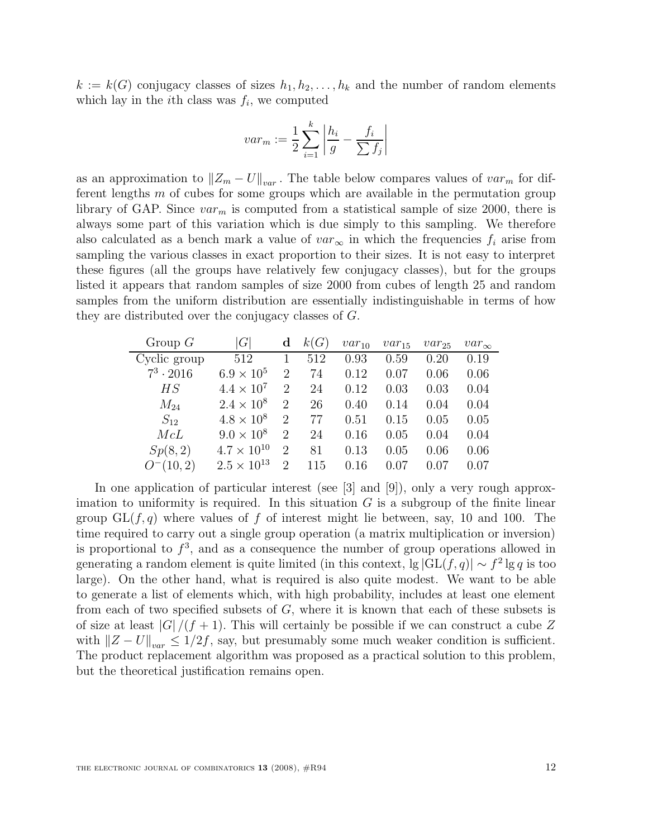$k := k(G)$  conjugacy classes of sizes  $h_1, h_2, \ldots, h_k$  and the number of random elements which lay in the *i*th class was  $f_i$ , we computed

$$
var_m := \frac{1}{2} \sum_{i=1}^{k} \left| \frac{h_i}{g} - \frac{f_i}{\sum f_j} \right|
$$

as an approximation to  $||Z_m - U||_{var}$ . The table below compares values of  $var_m$  for different lengths m of cubes for some groups which are available in the permutation group library of GAP. Since  $var_m$  is computed from a statistical sample of size 2000, there is always some part of this variation which is due simply to this sampling. We therefore also calculated as a bench mark a value of  $var_{\infty}$  in which the frequencies  $f_i$  arise from sampling the various classes in exact proportion to their sizes. It is not easy to interpret these figures (all the groups have relatively few conjugacy classes), but for the groups listed it appears that random samples of size 2000 from cubes of length 25 and random samples from the uniform distribution are essentially indistinguishable in terms of how they are distributed over the conjugacy classes of G.

| Group $G$        | G                    | d              | k(G) | $var_{10}$ | $var_{15}$ | $var_{25}$ | $var_{\infty}$ |
|------------------|----------------------|----------------|------|------------|------------|------------|----------------|
| Cyclic group     | 512                  |                | 512  | 0.93       | 0.59       | 0.20       | 0.19           |
| $7^3 \cdot 2016$ | $6.9 \times 10^{5}$  | $\overline{2}$ | 74   | 0.12       | 0.07       | 0.06       | 0.06           |
| HS               | $4.4 \times 10^{7}$  | $\overline{2}$ | 24   | 0.12       | 0.03       | 0.03       | 0.04           |
| $M_{24}$         | $2.4 \times 10^8$    | $\overline{2}$ | 26   | 0.40       | 0.14       | 0.04       | 0.04           |
| $S_{12}$         | $4.8 \times 10^8$    | 2              | 77   | 0.51       | 0.15       | 0.05       | 0.05           |
| McL              | $9.0 \times 10^8$    | $\overline{2}$ | 24   | 0.16       | 0.05       | 0.04       | 0.04           |
| Sp(8,2)          | $4.7 \times 10^{10}$ | $\overline{2}$ | 81   | 0.13       | 0.05       | 0.06       | 0.06           |
| $O^-(10, 2)$     | $2.5 \times 10^{13}$ | $\mathfrak{D}$ | 115  | 0.16       | 0.07       | 0.07       | 0.07           |

In one application of particular interest (see [3] and [9]), only a very rough approximation to uniformity is required. In this situation  $G$  is a subgroup of the finite linear group  $GL(f, q)$  where values of f of interest might lie between, say, 10 and 100. The time required to carry out a single group operation (a matrix multiplication or inversion) is proportional to  $f^3$ , and as a consequence the number of group operations allowed in generating a random element is quite limited (in this context,  $\lg |GL(f, q)| \sim f^2 \lg q$  is too large). On the other hand, what is required is also quite modest. We want to be able to generate a list of elements which, with high probability, includes at least one element from each of two specified subsets of  $G$ , where it is known that each of these subsets is of size at least  $|G|/(f+1)$ . This will certainly be possible if we can construct a cube Z with  $||Z - U||_{var} \le 1/2f$ , say, but presumably some much weaker condition is sufficient. The product replacement algorithm was proposed as a practical solution to this problem, but the theoretical justification remains open.